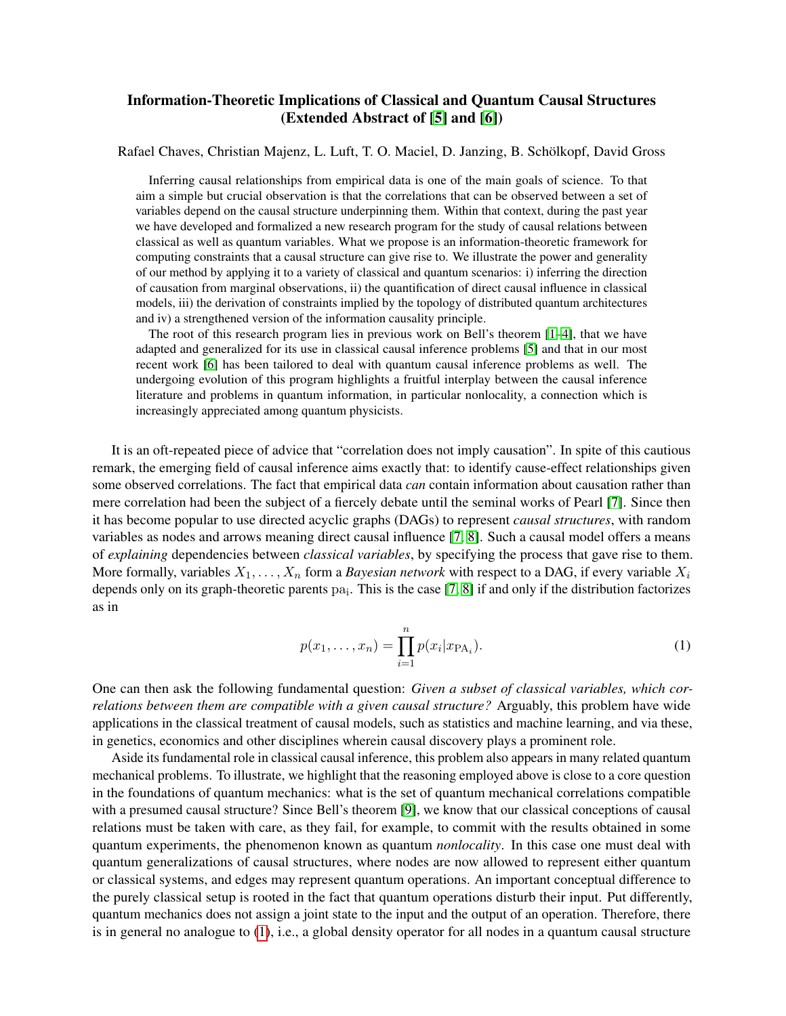## Information-Theoretic Implications of Classical and Quantum Causal Structures (Extended Abstract of [\[5\]](#page-3-0) and [\[6\]](#page-3-1))

## Rafael Chaves, Christian Majenz, L. Luft, T. O. Maciel, D. Janzing, B. Schölkopf, David Gross

Inferring causal relationships from empirical data is one of the main goals of science. To that aim a simple but crucial observation is that the correlations that can be observed between a set of variables depend on the causal structure underpinning them. Within that context, during the past year we have developed and formalized a new research program for the study of causal relations between classical as well as quantum variables. What we propose is an information-theoretic framework for computing constraints that a causal structure can give rise to. We illustrate the power and generality of our method by applying it to a variety of classical and quantum scenarios: i) inferring the direction of causation from marginal observations, ii) the quantification of direct causal influence in classical models, iii) the derivation of constraints implied by the topology of distributed quantum architectures and iv) a strengthened version of the information causality principle.

The root of this research program lies in previous work on Bell's theorem [\[1](#page-3-2)[–4\]](#page-3-3), that we have adapted and generalized for its use in classical causal inference problems [\[5\]](#page-3-0) and that in our most recent work [\[6\]](#page-3-1) has been tailored to deal with quantum causal inference problems as well. The undergoing evolution of this program highlights a fruitful interplay between the causal inference literature and problems in quantum information, in particular nonlocality, a connection which is increasingly appreciated among quantum physicists.

It is an oft-repeated piece of advice that "correlation does not imply causation". In spite of this cautious remark, the emerging field of causal inference aims exactly that: to identify cause-effect relationships given some observed correlations. The fact that empirical data *can* contain information about causation rather than mere correlation had been the subject of a fiercely debate until the seminal works of Pearl [\[7\]](#page-3-4). Since then it has become popular to use directed acyclic graphs (DAGs) to represent *causal structures*, with random variables as nodes and arrows meaning direct causal influence [\[7,](#page-3-4) [8\]](#page-3-5). Such a causal model offers a means of *explaining* dependencies between *classical variables*, by specifying the process that gave rise to them. More formally, variables  $X_1, \ldots, X_n$  form a *Bayesian network* with respect to a DAG, if every variable  $X_i$ depends only on its graph-theoretic parents  $pa_i$ . This is the case [\[7,](#page-3-4) [8\]](#page-3-5) if and only if the distribution factorizes as in

$$
p(x_1, ..., x_n) = \prod_{i=1}^n p(x_i | x_{\text{PA}_i}).
$$
 (1)

<span id="page-0-0"></span>One can then ask the following fundamental question: *Given a subset of classical variables, which correlations between them are compatible with a given causal structure?* Arguably, this problem have wide applications in the classical treatment of causal models, such as statistics and machine learning, and via these, in genetics, economics and other disciplines wherein causal discovery plays a prominent role.

Aside its fundamental role in classical causal inference, this problem also appears in many related quantum mechanical problems. To illustrate, we highlight that the reasoning employed above is close to a core question in the foundations of quantum mechanics: what is the set of quantum mechanical correlations compatible with a presumed causal structure? Since Bell's theorem [\[9\]](#page-3-6), we know that our classical conceptions of causal relations must be taken with care, as they fail, for example, to commit with the results obtained in some quantum experiments, the phenomenon known as quantum *nonlocality*. In this case one must deal with quantum generalizations of causal structures, where nodes are now allowed to represent either quantum or classical systems, and edges may represent quantum operations. An important conceptual difference to the purely classical setup is rooted in the fact that quantum operations disturb their input. Put differently, quantum mechanics does not assign a joint state to the input and the output of an operation. Therefore, there is in general no analogue to [\(1\)](#page-0-0), i.e., a global density operator for all nodes in a quantum causal structure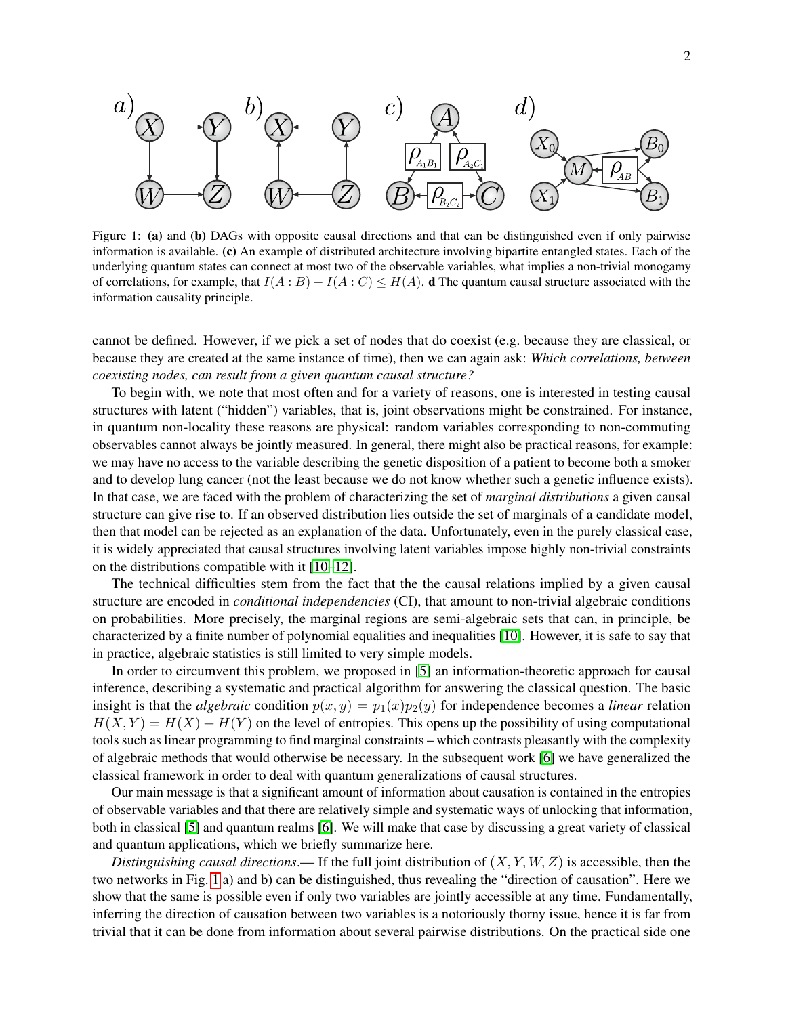<span id="page-1-0"></span>

Figure 1: (a) and (b) DAGs with opposite causal directions and that can be distinguished even if only pairwise information is available. (c) An example of distributed architecture involving bipartite entangled states. Each of the underlying quantum states can connect at most two of the observable variables, what implies a non-trivial monogamy of correlations, for example, that  $I(A : B) + I(A : C) \leq H(A)$ . **d** The quantum causal structure associated with the information causality principle.

cannot be defined. However, if we pick a set of nodes that do coexist (e.g. because they are classical, or because they are created at the same instance of time), then we can again ask: *Which correlations, between coexisting nodes, can result from a given quantum causal structure?*

To begin with, we note that most often and for a variety of reasons, one is interested in testing causal structures with latent ("hidden") variables, that is, joint observations might be constrained. For instance, in quantum non-locality these reasons are physical: random variables corresponding to non-commuting observables cannot always be jointly measured. In general, there might also be practical reasons, for example: we may have no access to the variable describing the genetic disposition of a patient to become both a smoker and to develop lung cancer (not the least because we do not know whether such a genetic influence exists). In that case, we are faced with the problem of characterizing the set of *marginal distributions* a given causal structure can give rise to. If an observed distribution lies outside the set of marginals of a candidate model, then that model can be rejected as an explanation of the data. Unfortunately, even in the purely classical case, it is widely appreciated that causal structures involving latent variables impose highly non-trivial constraints on the distributions compatible with it [\[10](#page-3-7)[–12\]](#page-3-8).

The technical difficulties stem from the fact that the the causal relations implied by a given causal structure are encoded in *conditional independencies* (CI), that amount to non-trivial algebraic conditions on probabilities. More precisely, the marginal regions are semi-algebraic sets that can, in principle, be characterized by a finite number of polynomial equalities and inequalities [\[10\]](#page-3-7). However, it is safe to say that in practice, algebraic statistics is still limited to very simple models.

In order to circumvent this problem, we proposed in [\[5\]](#page-3-0) an information-theoretic approach for causal inference, describing a systematic and practical algorithm for answering the classical question. The basic insight is that the *algebraic* condition  $p(x, y) = p_1(x)p_2(y)$  for independence becomes a *linear* relation  $H(X, Y) = H(X) + H(Y)$  on the level of entropies. This opens up the possibility of using computational tools such as linear programming to find marginal constraints – which contrasts pleasantly with the complexity of algebraic methods that would otherwise be necessary. In the subsequent work [\[6\]](#page-3-1) we have generalized the classical framework in order to deal with quantum generalizations of causal structures.

Our main message is that a significant amount of information about causation is contained in the entropies of observable variables and that there are relatively simple and systematic ways of unlocking that information, both in classical [\[5\]](#page-3-0) and quantum realms [\[6\]](#page-3-1). We will make that case by discussing a great variety of classical and quantum applications, which we briefly summarize here.

*Distinguishing causal directions*.— If the full joint distribution of  $(X, Y, W, Z)$  is accessible, then the two networks in Fig. [1](#page-1-0) a) and b) can be distinguished, thus revealing the "direction of causation". Here we show that the same is possible even if only two variables are jointly accessible at any time. Fundamentally, inferring the direction of causation between two variables is a notoriously thorny issue, hence it is far from trivial that it can be done from information about several pairwise distributions. On the practical side one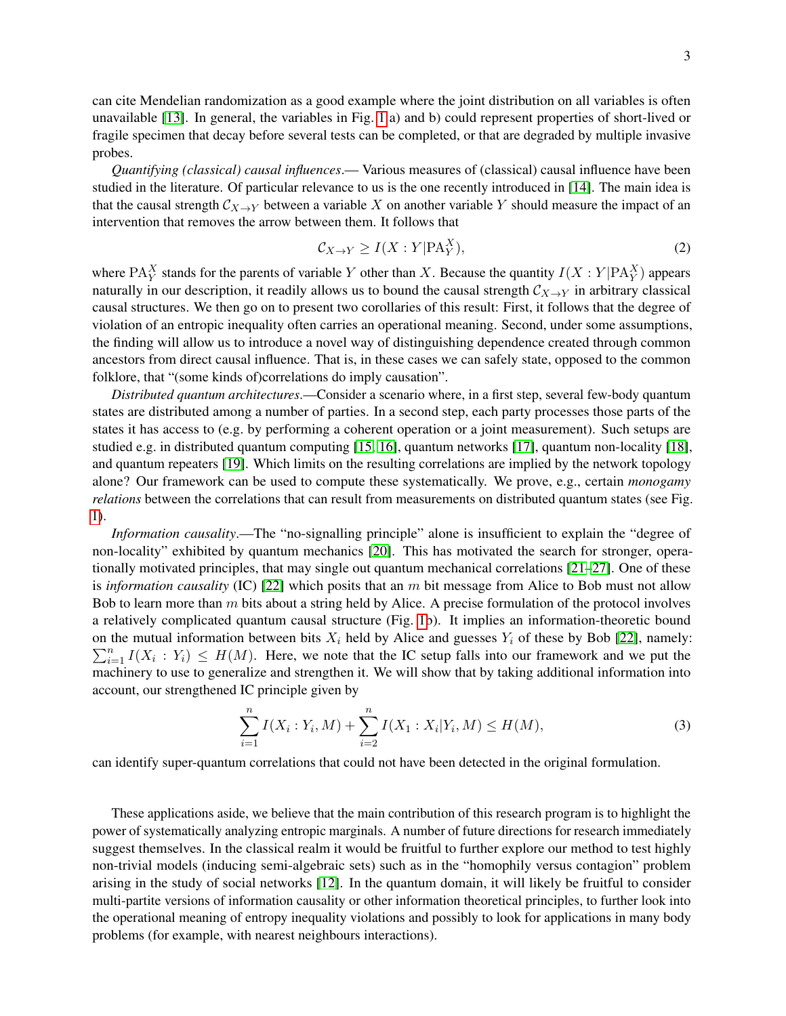can cite Mendelian randomization as a good example where the joint distribution on all variables is often unavailable [\[13\]](#page-3-9). In general, the variables in Fig. [1](#page-1-0) a) and b) could represent properties of short-lived or fragile specimen that decay before several tests can be completed, or that are degraded by multiple invasive probes.

*Quantifying (classical) causal influences*.— Various measures of (classical) causal influence have been studied in the literature. Of particular relevance to us is the one recently introduced in [\[14\]](#page-3-10). The main idea is that the causal strength  $\mathcal{C}_{X\to Y}$  between a variable X on another variable Y should measure the impact of an intervention that removes the arrow between them. It follows that

$$
\mathcal{C}_{X \to Y} \ge I(X : Y | \mathbf{PA}_Y^X),\tag{2}
$$

where PA $_Y^X$  stands for the parents of variable Y other than X. Because the quantity  $I(X:Y|PA_Y^X)$  appears naturally in our description, it readily allows us to bound the causal strength  $C_{X\to Y}$  in arbitrary classical causal structures. We then go on to present two corollaries of this result: First, it follows that the degree of violation of an entropic inequality often carries an operational meaning. Second, under some assumptions, the finding will allow us to introduce a novel way of distinguishing dependence created through common ancestors from direct causal influence. That is, in these cases we can safely state, opposed to the common folklore, that "(some kinds of)correlations do imply causation".

*Distributed quantum architectures*.—Consider a scenario where, in a first step, several few-body quantum states are distributed among a number of parties. In a second step, each party processes those parts of the states it has access to (e.g. by performing a coherent operation or a joint measurement). Such setups are studied e.g. in distributed quantum computing [\[15,](#page-3-11) [16\]](#page-3-12), quantum networks [\[17\]](#page-3-13), quantum non-locality [\[18\]](#page-3-14), and quantum repeaters [\[19\]](#page-3-15). Which limits on the resulting correlations are implied by the network topology alone? Our framework can be used to compute these systematically. We prove, e.g., certain *monogamy relations* between the correlations that can result from measurements on distributed quantum states (see Fig. [1\)](#page-1-0).

*Information causality*.—The "no-signalling principle" alone is insufficient to explain the "degree of non-locality" exhibited by quantum mechanics [\[20\]](#page-3-16). This has motivated the search for stronger, operationally motivated principles, that may single out quantum mechanical correlations  $[21-27]$  $[21-27]$ . One of these is *information causality* (IC) [\[22\]](#page-3-19) which posits that an m bit message from Alice to Bob must not allow Bob to learn more than  $m$  bits about a string held by Alice. A precise formulation of the protocol involves a relatively complicated quantum causal structure (Fig. [1b](#page-1-0)). It implies an information-theoretic bound on the mutual information between bits  $X_i$  held by Alice and guesses  $Y_i$  of these by Bob [\[22\]](#page-3-19), namely:  $\sum_{i=1}^{n} I(X_i : Y_i) \leq H(M)$ . Here, we note that the IC setup falls into our framework and we put the machinery to use to generalize and strengthen it. We will show that by taking additional information into account, our strengthened IC principle given by

$$
\sum_{i=1}^{n} I(X_i : Y_i, M) + \sum_{i=2}^{n} I(X_1 : X_i | Y_i, M) \le H(M),
$$
\n(3)

can identify super-quantum correlations that could not have been detected in the original formulation.

These applications aside, we believe that the main contribution of this research program is to highlight the power of systematically analyzing entropic marginals. A number of future directions for research immediately suggest themselves. In the classical realm it would be fruitful to further explore our method to test highly non-trivial models (inducing semi-algebraic sets) such as in the "homophily versus contagion" problem arising in the study of social networks [\[12\]](#page-3-8). In the quantum domain, it will likely be fruitful to consider multi-partite versions of information causality or other information theoretical principles, to further look into the operational meaning of entropy inequality violations and possibly to look for applications in many body problems (for example, with nearest neighbours interactions).